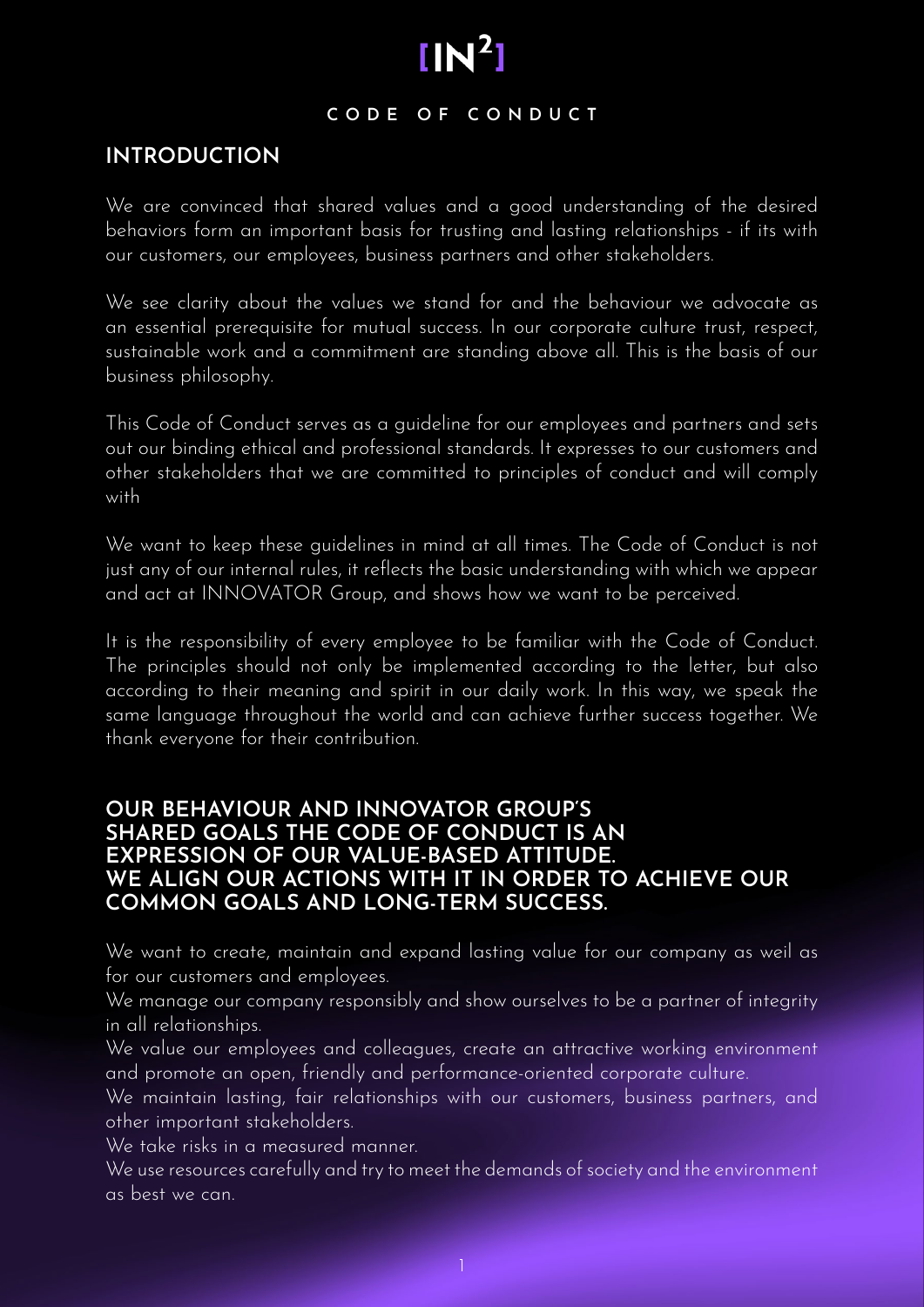#### **CODE OF CONDUCT**

# **INTRODUCTION**

We are convinced that shared values and a good understanding of the desired behaviors form an important basis for trusting and lasting relationships - if its with our customers, our employees, business partners and other stakeholders.

We see clarity about the values we stand for and the behaviour we advocate as an essential prerequisite for mutual success. In our corporate culture trust, respect, sustainable work and a commitment are standing above all. This is the basis of our business philosophy.

This Code of Conduct serves as a guideline for our employees and partners and sets out our binding ethical and professional standards. It expresses to our customers and other stakeholders that we are committed to principles of conduct and will comply with

We want to keep these guidelines in mind at all times. The Code of Conduct is not just any of our internal rules, it reflects the basic understanding with which we appear and act at INNOVATOR Group, and shows how we want to be perceived.

It is the responsibility of every employee to be familiar with the Code of Conduct. The principles should not only be implemented according to the letter, but also according to their meaning and spirit in our daily work. In this way, we speak the same language throughout the world and can achieve further success together. We thank everyone for their contribution.

# **OUR BEHAVIOUR AND INNOVATOR GROUP'S SHARED GOALS THE CODE OF CONDUCT IS AN EXPRESSION OF OUR VALUE-BASED ATTITUDE. WE ALIGN OUR ACTIONS WITH IT IN ORDER TO ACHIEVE OUR COMMON GOALS AND LONG-TERM SUCCESS.**

We want to create, maintain and expand lasting value for our company as weil as for our customers and employees.

We manage our company responsibly and show ourselves to be a partner of integrity in all relationships.

We value our employees and colleagues, create an attractive working environment and promote an open, friendly and performance-oriented corporate culture.

We maintain lasting, fair relationships with our customers, business partners, and other important stakeholders.

We take risks in a measured manner.

We use resources carefully and try to meet the demands of society and the environment as best we can.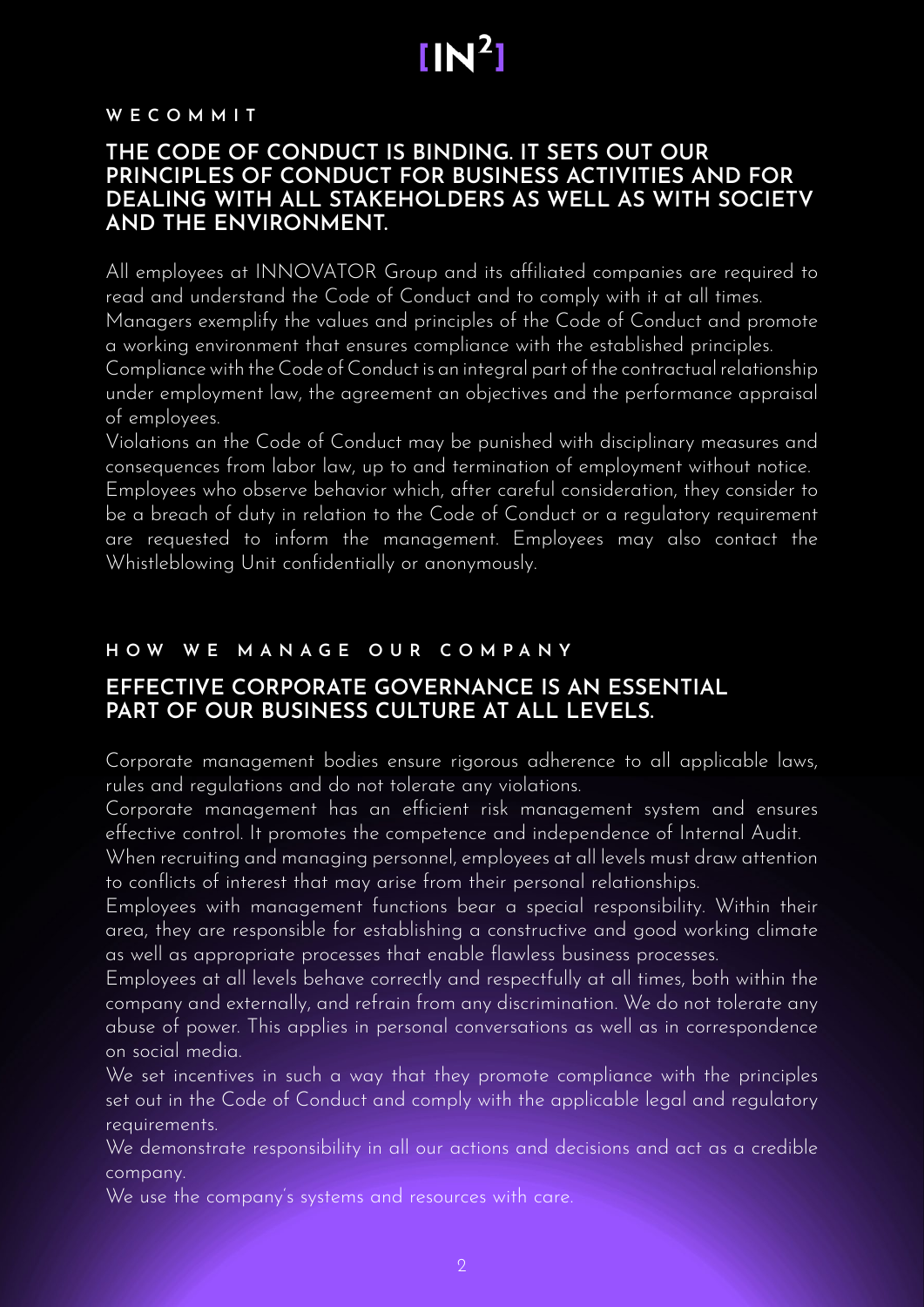# $IN^2$

#### **W E C O M M I T**

# **THE CODE OF CONDUCT IS BINDING. IT SETS OUT OUR PRINCIPLES OF CONDUCT FOR BUSINESS ACTIVITIES AND FOR DEALING WITH ALL STAKEHOLDERS AS WELL AS WITH SOCIETV AND THE ENVIRONMENT.**

All employees at INNOVATOR Group and its affiliated companies are required to read and understand the Code of Conduct and to comply with it at all times. Managers exemplify the values and principles of the Code of Conduct and promote a working environment that ensures compliance with the established principles. Compliance with the Code of Conduct is an integral part of the contractual relationship under employment law, the agreement an objectives and the performance appraisal

of employees.

Violations an the Code of Conduct may be punished with disciplinary measures and consequences from labor law, up to and termination of employment without notice. Employees who observe behavior which, after careful consideration, they consider to be a breach of duty in relation to the Code of Conduct or a regulatory requirement are requested to inform the management. Employees may also contact the Whistleblowing Unit confidentially or anonymously.

# **H O W W E M A N A G E O U R C O M P A N Y**

# **EFFECTIVE CORPORATE GOVERNANCE IS AN ESSENTIAL PART OF OUR BUSINESS CULTURE AT ALL LEVELS.**

Corporate management bodies ensure rigorous adherence to all applicable laws, rules and regulations and do not tolerate any violations.

Corporate management has an efficient risk management system and ensures effective control. It promotes the competence and independence of Internal Audit.

When recruiting and managing personnel, employees at all levels must draw attention to conflicts of interest that may arise from their personal relationships.

Employees with management functions bear a special responsibility. Within their area, they are responsible for establishing a constructive and good working climate as well as appropriate processes that enable flawless business processes.

Employees at all levels behave correctly and respectfully at all times, both within the company and externally, and refrain from any discrimination. We do not tolerate any abuse of power. This applies in personal conversations as well as in correspondence on social media.

We set incentives in such a way that they promote compliance with the principles set out in the Code of Conduct and comply with the applicable legal and regulatory requirements.

We demonstrate responsibility in all our actions and decisions and act as a credible company.

We use the company's systems and resources with care.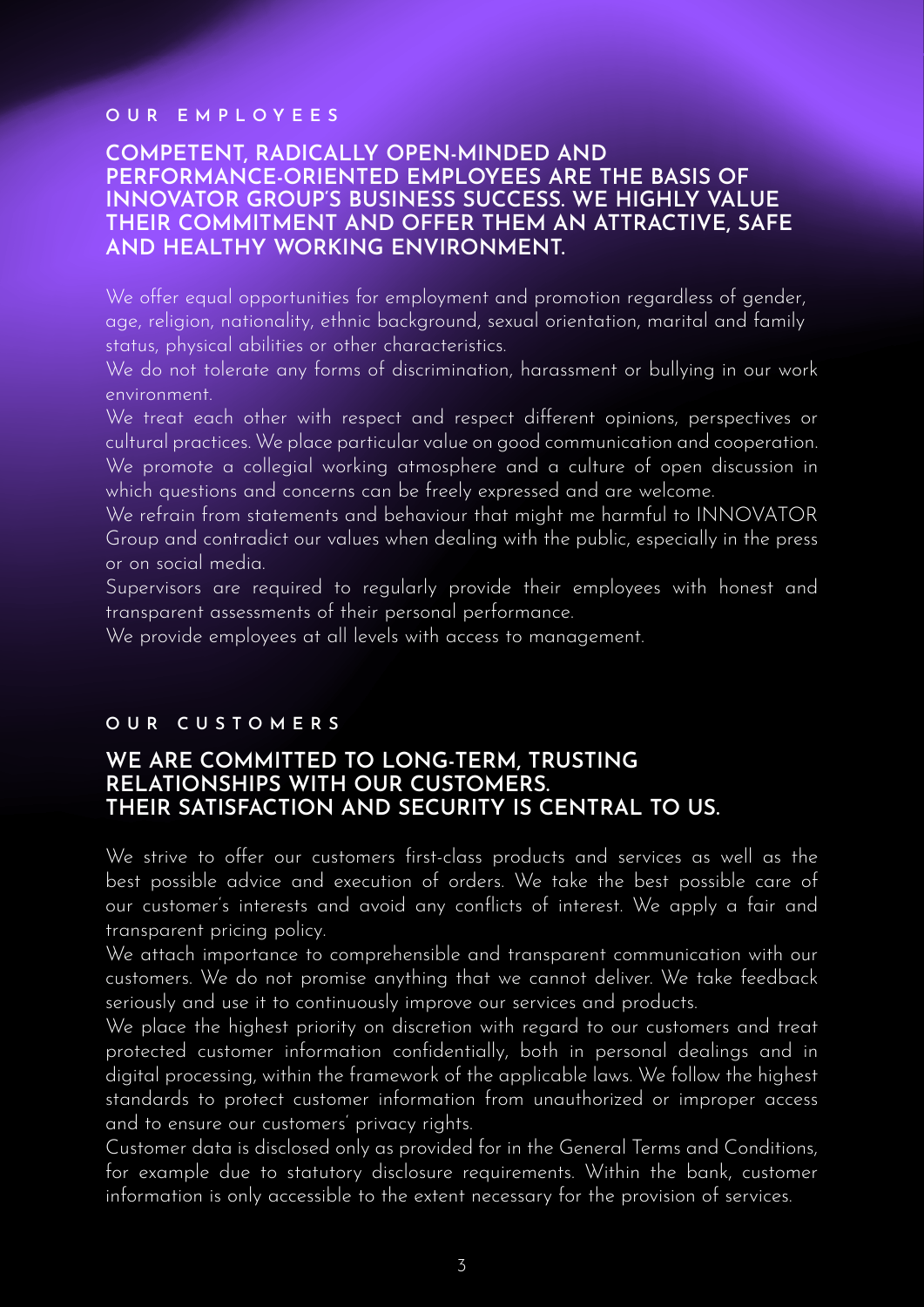#### **OUR EMPLOYEES**

## **COMPETENT, RADICALLY OPEN-MINDED AND PERFORMANCE-ORIENTED EMPLOYEES ARE THE BASIS OF INNOVATOR GROUP'S BUSINESS SUCCESS. WE HIGHLY VALUE THEIR COMMITMENT AND OFFER THEM AN ATTRACTIVE, SAFE AND HEALTHY WORKING ENVIRONMENT.**

We offer equal opportunities for employment and promotion regardless of gender, age, religion, nationality, ethnic background, sexual orientation, marital and family status, physical abilities or other characteristics.

We do not tolerate any forms of discrimination, harassment or bullying in our work environment.

We treat each other with respect and respect different opinions, perspectives or cultural practices. We place particular value on good communication and cooperation. We promote a collegial working atmosphere and a culture of open discussion in which questions and concerns can be freely expressed and are welcome.

We refrain from statements and behaviour that might me harmful to INNOVATOR Group and contradict our values when dealing with the public, especially in the press or on social media.

Supervisors are required to regularly provide their employees with honest and transparent assessments of their personal performance.

We provide employees at all levels with access to management.

### **O U R C U S T O M E R S**

# **WE ARE COMMITTED TO LONG-TERM, TRUSTING RELATIONSHIPS WITH OUR CUSTOMERS. THEIR SATISFACTION AND SECURITY IS CENTRAL TO US.**

We strive to offer our customers first-class products and services as well as the best possible advice and execution of orders. We take the best possible care of our customer's interests and avoid any conflicts of interest. We apply a fair and transparent pricing policy.

We attach importance to comprehensible and transparent communication with our customers. We do not promise anything that we cannot deliver. We take feedback seriously and use it to continuously improve our services and products.

We place the highest priority on discretion with regard to our customers and treat protected customer information confidentially, both in personal dealings and in digital processing, within the framework of the applicable laws. We follow the highest standards to protect customer information from unauthorized or improper access and to ensure our customers' privacy rights.

Customer data is disclosed only as provided for in the General Terms and Conditions, for example due to statutory disclosure requirements. Within the bank, customer information is only accessible to the extent necessary for the provision of services.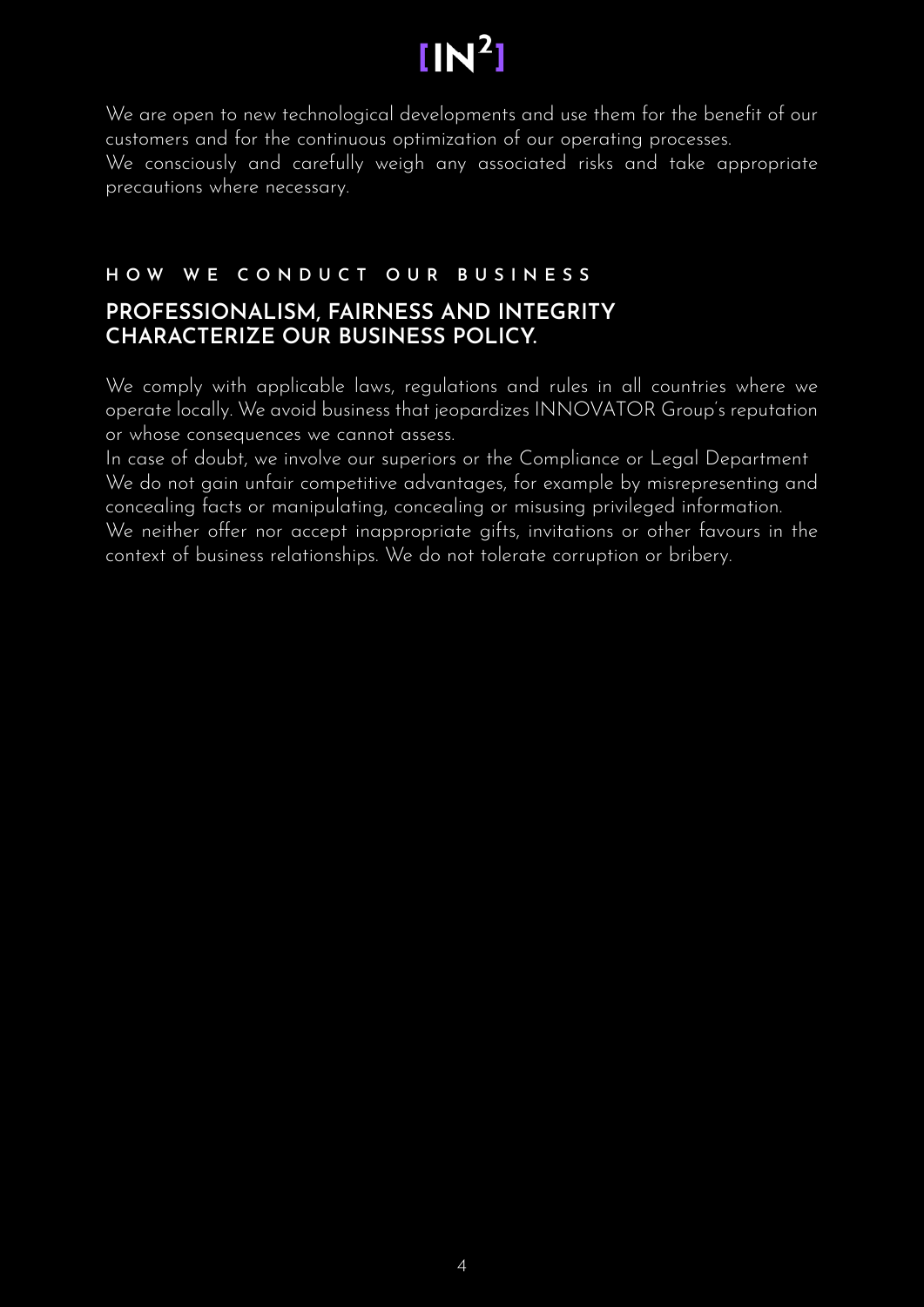# $IN<sup>2</sup>$

We are open to new technological developments and use them for the benefit of our customers and for the continuous optimization of our operating processes. We consciously and carefully weigh any associated risks and take appropriate precautions where necessary.

# **HOW WE CONDUCT OUR BUSINESS**

# **PROFESSIONALISM, FAIRNESS AND INTEGRITY CHARACTERIZE OUR BUSINESS POLICY.**

We comply with applicable laws, regulations and rules in all countries where we operate locally. We avoid business that jeopardizes INNOVATOR Group's reputation or whose consequences we cannot assess.

In case of doubt, we involve our superiors or the Compliance or Legal Department We do not gain unfair competitive advantages, for example by misrepresenting and concealing facts or manipulating, concealing or misusing privileged information. We neither offer nor accept inappropriate gifts, invitations or other favours in the context of business relationships. We do not tolerate corruption or bribery.